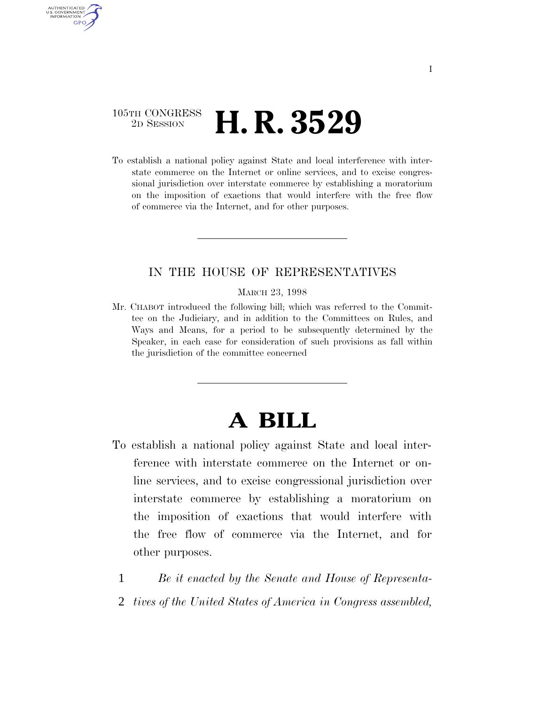### 105TH CONGRESS <sup>2D SESSION</sup> **H. R. 3529**

AUTHENTICATED U.S. GOVERNMENT **GPO** 

> To establish a national policy against State and local interference with interstate commerce on the Internet or online services, and to excise congressional jurisdiction over interstate commerce by establishing a moratorium on the imposition of exactions that would interfere with the free flow of commerce via the Internet, and for other purposes.

#### IN THE HOUSE OF REPRESENTATIVES

MARCH 23, 1998

Mr. CHABOT introduced the following bill; which was referred to the Committee on the Judiciary, and in addition to the Committees on Rules, and Ways and Means, for a period to be subsequently determined by the Speaker, in each case for consideration of such provisions as fall within the jurisdiction of the committee concerned

# **A BILL**

- To establish a national policy against State and local interference with interstate commerce on the Internet or online services, and to excise congressional jurisdiction over interstate commerce by establishing a moratorium on the imposition of exactions that would interfere with the free flow of commerce via the Internet, and for other purposes.
	- 1 *Be it enacted by the Senate and House of Representa-*
	- 2 *tives of the United States of America in Congress assembled,*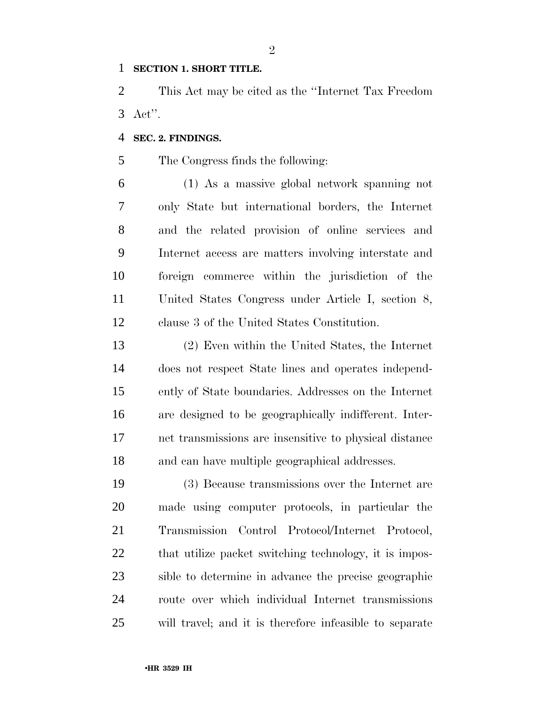#### **SECTION 1. SHORT TITLE.**

 This Act may be cited as the ''Internet Tax Freedom Act''.

#### **SEC. 2. FINDINGS.**

The Congress finds the following:

 (1) As a massive global network spanning not only State but international borders, the Internet and the related provision of online services and Internet access are matters involving interstate and foreign commerce within the jurisdiction of the United States Congress under Article I, section 8, clause 3 of the United States Constitution.

 (2) Even within the United States, the Internet does not respect State lines and operates independ- ently of State boundaries. Addresses on the Internet are designed to be geographically indifferent. Inter- net transmissions are insensitive to physical distance and can have multiple geographical addresses.

 (3) Because transmissions over the Internet are made using computer protocols, in particular the Transmission Control Protocol/Internet Protocol, 22 that utilize packet switching technology, it is impos- sible to determine in advance the precise geographic route over which individual Internet transmissions will travel; and it is therefore infeasible to separate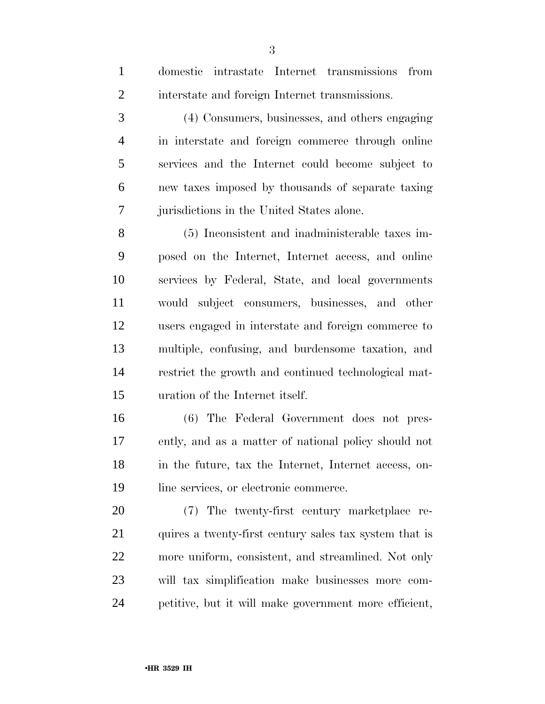| $\mathbf{1}$   | domestic intrastate Internet transmissions<br>from     |
|----------------|--------------------------------------------------------|
| $\overline{2}$ | interstate and foreign Internet transmissions.         |
| 3              | (4) Consumers, businesses, and others engaging         |
| $\overline{4}$ | in interstate and foreign commerce through online      |
| 5              | services and the Internet could become subject to      |
| 6              | new taxes imposed by thousands of separate taxing      |
| $\tau$         | jurisdictions in the United States alone.              |
| 8              | (5) Inconsistent and inadministerable taxes im-        |
| 9              | posed on the Internet, Internet access, and online     |
| 10             | services by Federal, State, and local governments      |
| 11             | would subject consumers, businesses, and other         |
| 12             | users engaged in interstate and foreign commerce to    |
| 13             | multiple, confusing, and burdensome taxation, and      |
| 14             | restrict the growth and continued technological mat-   |
| 15             | uration of the Internet itself.                        |
| 16             | (6) The Federal Government does not pres-              |
| 17             | ently, and as a matter of national policy should not   |
| 18             | in the future, tax the Internet, Internet access, on-  |
| 19             | line services, or electronic commerce.                 |
| 20             | (7) The twenty-first century marketplace re-           |
| 21             | quires a twenty-first century sales tax system that is |
| 22             | more uniform, consistent, and streamlined. Not only    |
| 23             | will tax simplification make businesses more com-      |
| 24             | petitive, but it will make government more efficient,  |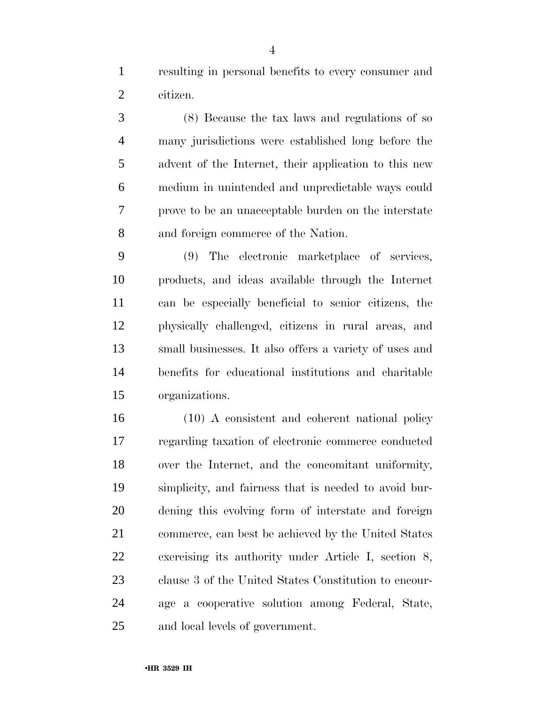resulting in personal benefits to every consumer and citizen.

 (8) Because the tax laws and regulations of so many jurisdictions were established long before the advent of the Internet, their application to this new medium in unintended and unpredictable ways could prove to be an unacceptable burden on the interstate and foreign commerce of the Nation.

 (9) The electronic marketplace of services, products, and ideas available through the Internet can be especially beneficial to senior citizens, the physically challenged, citizens in rural areas, and small businesses. It also offers a variety of uses and benefits for educational institutions and charitable organizations.

 (10) A consistent and coherent national policy regarding taxation of electronic commerce conducted over the Internet, and the concomitant uniformity, simplicity, and fairness that is needed to avoid bur- dening this evolving form of interstate and foreign commerce, can best be achieved by the United States exercising its authority under Article I, section 8, clause 3 of the United States Constitution to encour- age a cooperative solution among Federal, State, and local levels of government.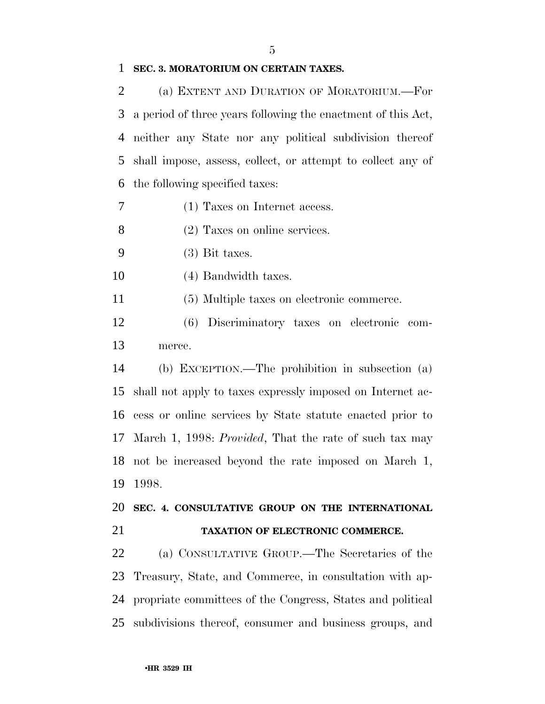#### 

#### **SEC. 3. MORATORIUM ON CERTAIN TAXES.**

 (a) EXTENT AND DURATION OF MORATORIUM.—For a period of three years following the enactment of this Act, neither any State nor any political subdivision thereof shall impose, assess, collect, or attempt to collect any of the following specified taxes:

(1) Taxes on Internet access.

(2) Taxes on online services.

(3) Bit taxes.

(4) Bandwidth taxes.

(5) Multiple taxes on electronic commerce.

 (6) Discriminatory taxes on electronic com-merce.

 (b) EXCEPTION.—The prohibition in subsection (a) shall not apply to taxes expressly imposed on Internet ac- cess or online services by State statute enacted prior to March 1, 1998: *Provided*, That the rate of such tax may not be increased beyond the rate imposed on March 1, 1998.

## **SEC. 4. CONSULTATIVE GROUP ON THE INTERNATIONAL TAXATION OF ELECTRONIC COMMERCE.**

 (a) CONSULTATIVE GROUP.—The Secretaries of the Treasury, State, and Commerce, in consultation with ap- propriate committees of the Congress, States and political subdivisions thereof, consumer and business groups, and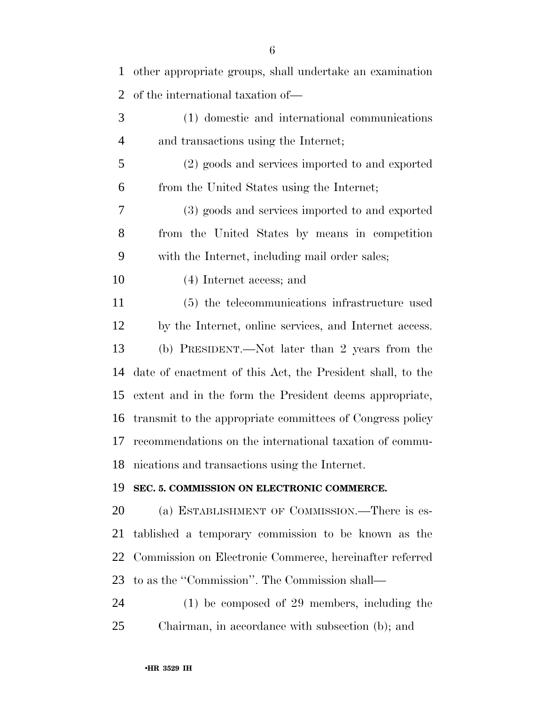| 1  | other appropriate groups, shall undertake an examination   |
|----|------------------------------------------------------------|
| 2  | of the international taxation of—                          |
| 3  | (1) domestic and international communications              |
| 4  | and transactions using the Internet;                       |
| 5  | (2) goods and services imported to and exported            |
| 6  | from the United States using the Internet;                 |
| 7  | (3) goods and services imported to and exported            |
| 8  | from the United States by means in competition             |
| 9  | with the Internet, including mail order sales;             |
| 10 | (4) Internet access; and                                   |
| 11 | (5) the telecommunications infrastructure used             |
| 12 | by the Internet, online services, and Internet access.     |
| 13 | (b) PRESIDENT.—Not later than 2 years from the             |
| 14 | date of enactment of this Act, the President shall, to the |
| 15 | extent and in the form the President deems appropriate,    |
| 16 | transmit to the appropriate committees of Congress policy  |
| 17 | recommendations on the international taxation of commu-    |
|    | 18 nications and transactions using the Internet.          |
| 19 | SEC. 5. COMMISSION ON ELECTRONIC COMMERCE.                 |
| 20 | (a) ESTABLISHMENT OF COMMISSION.—There is es-              |
| 21 | tablished a temporary commission to be known as the        |
| 22 | Commission on Electronic Commerce, hereinafter referred    |
| 23 | to as the "Commission". The Commission shall—              |
| 24 | $(1)$ be composed of 29 members, including the             |
| 25 | Chairman, in accordance with subsection (b); and           |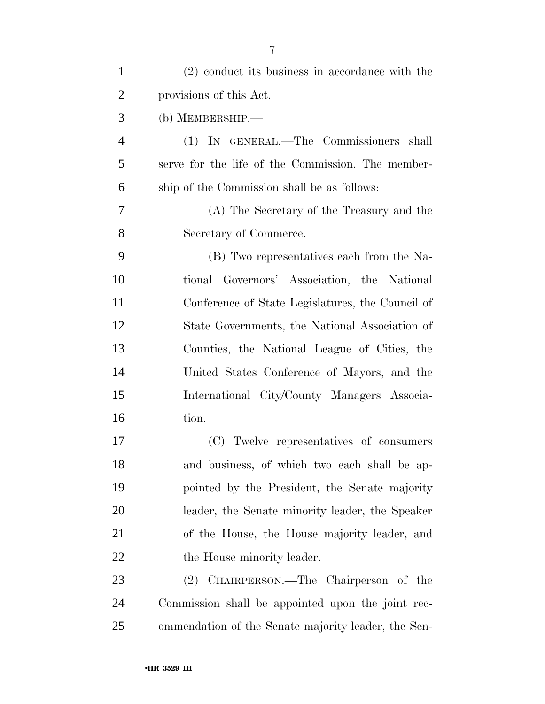| $\mathbf{1}$   | $(2)$ conduct its business in accordance with the   |
|----------------|-----------------------------------------------------|
| $\overline{2}$ | provisions of this Act.                             |
| 3              | (b) MEMBERSHIP.—                                    |
| 4              | (1) IN GENERAL.—The Commissioners shall             |
| 5              | serve for the life of the Commission. The member-   |
| 6              | ship of the Commission shall be as follows:         |
| 7              | (A) The Secretary of the Treasury and the           |
| 8              | Secretary of Commerce.                              |
| 9              | (B) Two representatives each from the Na-           |
| 10             | tional Governors' Association, the National         |
| 11             | Conference of State Legislatures, the Council of    |
| 12             | State Governments, the National Association of      |
| 13             | Counties, the National League of Cities, the        |
| 14             | United States Conference of Mayors, and the         |
| 15             | International City/County Managers Associa-         |
| 16             | tion.                                               |
| 17             | (C) Twelve representatives of consumers             |
| 18             | and business, of which two each shall be ap-        |
| 19             | pointed by the President, the Senate majority       |
| 20             | leader, the Senate minority leader, the Speaker     |
| 21             | of the House, the House majority leader, and        |
| 22             | the House minority leader.                          |
| 23             | (2) CHAIRPERSON.—The Chairperson of the             |
| 24             | Commission shall be appointed upon the joint rec-   |
| 25             | ommendation of the Senate majority leader, the Sen- |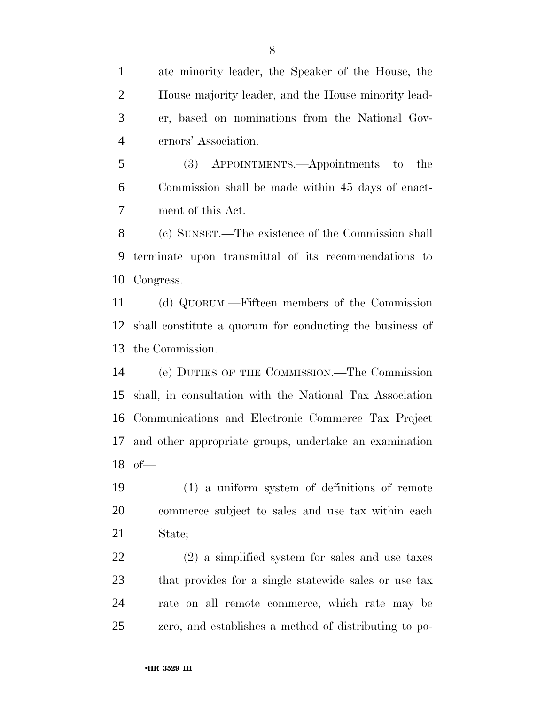ate minority leader, the Speaker of the House, the House majority leader, and the House minority lead- er, based on nominations from the National Gov-ernors' Association.

 (3) APPOINTMENTS.—Appointments to the Commission shall be made within 45 days of enact-ment of this Act.

 (c) SUNSET.—The existence of the Commission shall terminate upon transmittal of its recommendations to Congress.

 (d) QUORUM.—Fifteen members of the Commission shall constitute a quorum for conducting the business of the Commission.

 (e) DUTIES OF THE COMMISSION.—The Commission shall, in consultation with the National Tax Association Communications and Electronic Commerce Tax Project and other appropriate groups, undertake an examination of—

 (1) a uniform system of definitions of remote commerce subject to sales and use tax within each State;

 (2) a simplified system for sales and use taxes that provides for a single statewide sales or use tax rate on all remote commerce, which rate may be zero, and establishes a method of distributing to po-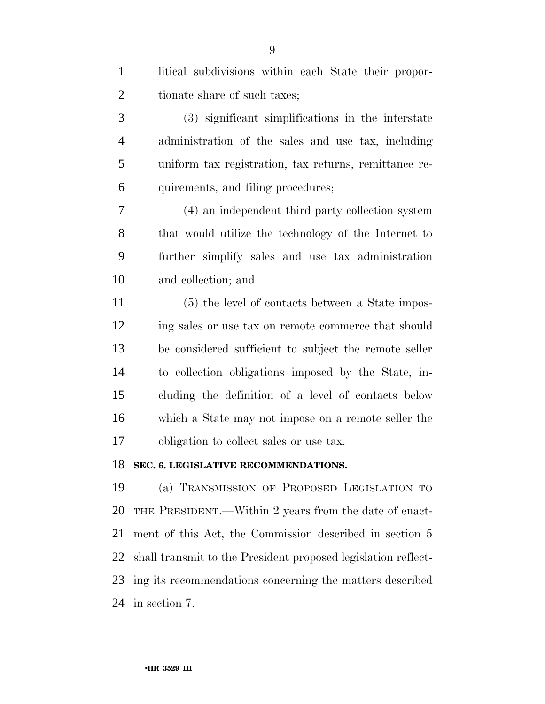| tionate share of such taxes;                                  |
|---------------------------------------------------------------|
|                                                               |
| (3) significant simplifications in the interstate             |
| administration of the sales and use tax, including            |
| uniform tax registration, tax returns, remittance re-         |
| quirements, and filing procedures;                            |
| (4) an independent third party collection system              |
| that would utilize the technology of the Internet to          |
| further simplify sales and use tax administration             |
| and collection; and                                           |
| (5) the level of contacts between a State impos-              |
| ing sales or use tax on remote commerce that should           |
| be considered sufficient to subject the remote seller         |
| to collection obligations imposed by the State, in-           |
| cluding the definition of a level of contacts below           |
| which a State may not impose on a remote seller the           |
| obligation to collect sales or use tax.                       |
| 18<br>SEC. 6. LEGISLATIVE RECOMMENDATIONS.                    |
| (a) TRANSMISSION OF PROPOSED LEGISLATION TO                   |
| THE PRESIDENT.—Within 2 years from the date of enact-         |
| ment of this Act, the Commission described in section 5       |
| shall transmit to the President proposed legislation reflect- |
| ing its recommendations concerning the matters described      |
|                                                               |

in section 7.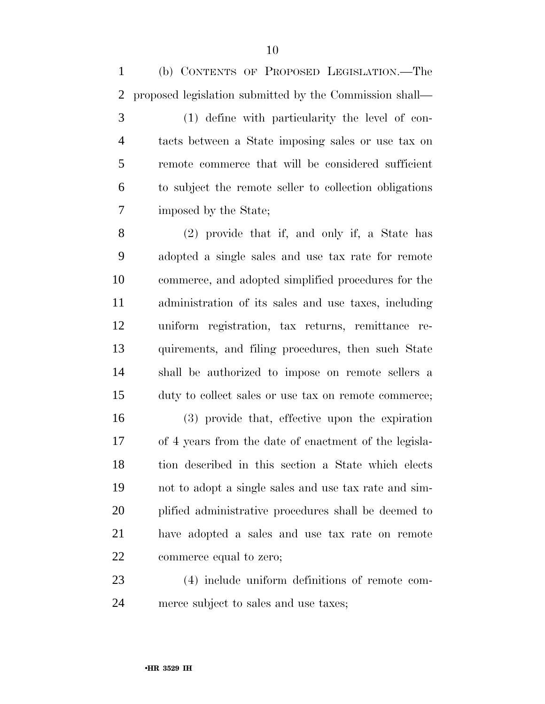(b) CONTENTS OF PROPOSED LEGISLATION.—The proposed legislation submitted by the Commission shall—

 (1) define with particularity the level of con- tacts between a State imposing sales or use tax on remote commerce that will be considered sufficient to subject the remote seller to collection obligations imposed by the State;

 (2) provide that if, and only if, a State has adopted a single sales and use tax rate for remote commerce, and adopted simplified procedures for the administration of its sales and use taxes, including uniform registration, tax returns, remittance re- quirements, and filing procedures, then such State shall be authorized to impose on remote sellers a duty to collect sales or use tax on remote commerce;

 (3) provide that, effective upon the expiration of 4 years from the date of enactment of the legisla- tion described in this section a State which elects not to adopt a single sales and use tax rate and sim- plified administrative procedures shall be deemed to have adopted a sales and use tax rate on remote commerce equal to zero;

 (4) include uniform definitions of remote com-merce subject to sales and use taxes;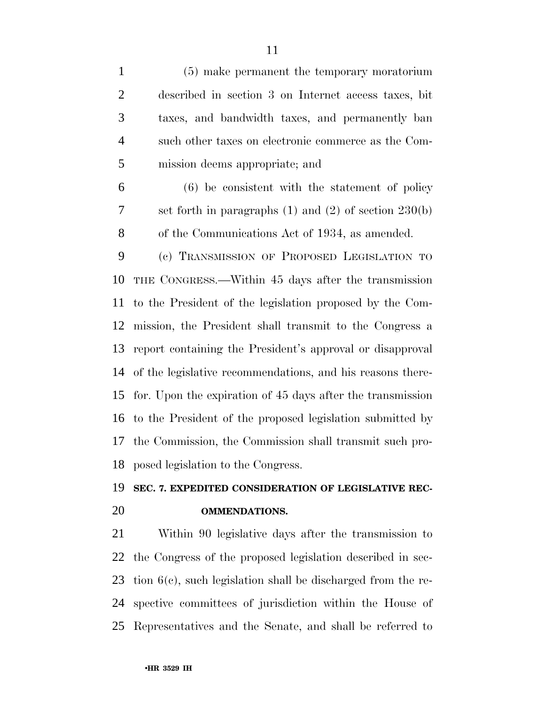| $\mathbf{1}$   | (5) make permanent the temporary moratorium                     |
|----------------|-----------------------------------------------------------------|
| $\overline{2}$ | described in section 3 on Internet access taxes, bit            |
| 3              | taxes, and bandwidth taxes, and permanently ban                 |
| $\overline{4}$ | such other taxes on electronic commerce as the Com-             |
| 5              | mission deems appropriate; and                                  |
| 6              | $(6)$ be consistent with the statement of policy                |
| 7              | set forth in paragraphs $(1)$ and $(2)$ of section $230(b)$     |
| 8              | of the Communications Act of 1934, as amended.                  |
| 9              | (c) TRANSMISSION OF PROPOSED LEGISLATION TO                     |
| 10             | THE CONGRESS.—Within 45 days after the transmission             |
| 11             | to the President of the legislation proposed by the Com-        |
| 12             | mission, the President shall transmit to the Congress a         |
| 13             | report containing the President's approval or disapproval       |
| 14             | of the legislative recommendations, and his reasons there-      |
| 15             | for. Upon the expiration of 45 days after the transmission      |
| 16             | to the President of the proposed legislation submitted by       |
| 17             | the Commission, the Commission shall transmit such pro-         |
|                | 18 posed legislation to the Congress.                           |
| 19             | SEC. 7. EXPEDITED CONSIDERATION OF LEGISLATIVE REC-             |
| 20             | <b>OMMENDATIONS.</b>                                            |
| 21             | Within 90 legislative days after the transmission to            |
| 22             | the Congress of the proposed legislation described in sec-      |
| 23             | tion $6(c)$ , such legislation shall be discharged from the re- |

 spective committees of jurisdiction within the House of Representatives and the Senate, and shall be referred to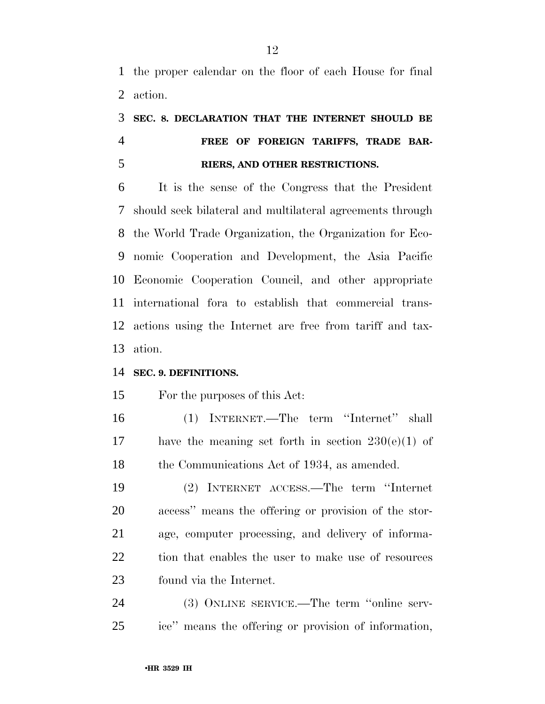the proper calendar on the floor of each House for final action.

## **SEC. 8. DECLARATION THAT THE INTERNET SHOULD BE FREE OF FOREIGN TARIFFS, TRADE BAR-RIERS, AND OTHER RESTRICTIONS.**

 It is the sense of the Congress that the President should seek bilateral and multilateral agreements through the World Trade Organization, the Organization for Eco- nomic Cooperation and Development, the Asia Pacific Economic Cooperation Council, and other appropriate international fora to establish that commercial trans- actions using the Internet are free from tariff and tax-ation.

#### **SEC. 9. DEFINITIONS.**

For the purposes of this Act:

 (1) INTERNET.—The term ''Internet'' shall 17 have the meaning set forth in section  $230(e)(1)$  of 18 the Communications Act of 1934, as amended.

 (2) INTERNET ACCESS.—The term ''Internet access'' means the offering or provision of the stor- age, computer processing, and delivery of informa- tion that enables the user to make use of resources found via the Internet.

 (3) ONLINE SERVICE.—The term ''online serv-ice'' means the offering or provision of information,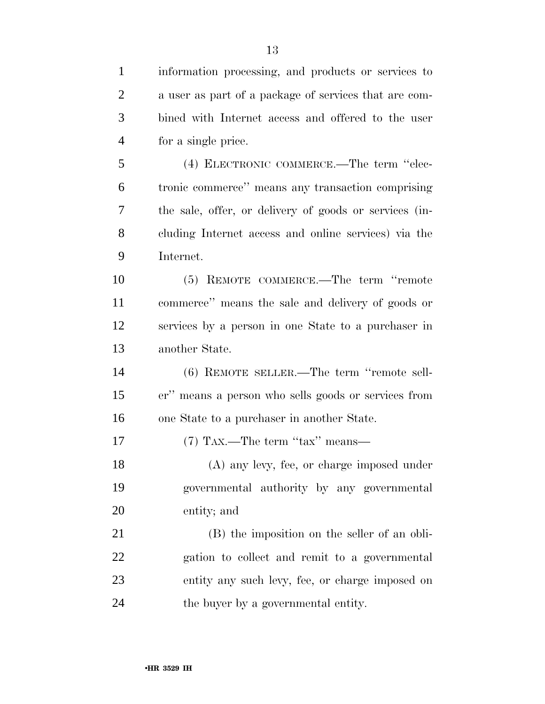information processing, and products or services to a user as part of a package of services that are com- bined with Internet access and offered to the user for a single price. (4) ELECTRONIC COMMERCE.—The term ''elec-tronic commerce'' means any transaction comprising

 the sale, offer, or delivery of goods or services (in- cluding Internet access and online services) via the Internet.

 (5) REMOTE COMMERCE.—The term ''remote commerce'' means the sale and delivery of goods or services by a person in one State to a purchaser in another State.

 (6) REMOTE SELLER.—The term ''remote sell- er'' means a person who sells goods or services from one State to a purchaser in another State.

17 (7) TAX.—The term "tax" means—

 (A) any levy, fee, or charge imposed under governmental authority by any governmental entity; and

 (B) the imposition on the seller of an obli- gation to collect and remit to a governmental entity any such levy, fee, or charge imposed on the buyer by a governmental entity.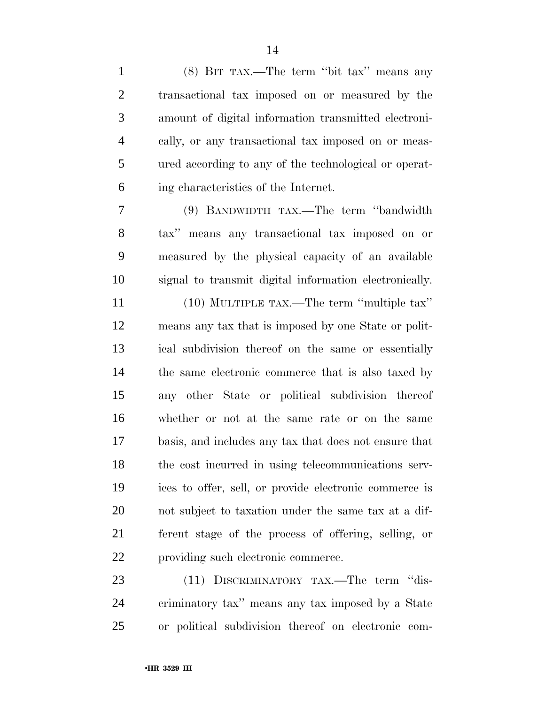| $\mathbf{1}$   | (8) BIT TAX.—The term "bit tax" means any              |
|----------------|--------------------------------------------------------|
| $\overline{2}$ | transactional tax imposed on or measured by the        |
| 3              | amount of digital information transmitted electroni-   |
| $\overline{4}$ | cally, or any transactional tax imposed on or meas-    |
| 5              | ured according to any of the technological or operat-  |
| 6              | ing characteristics of the Internet.                   |
| 7              | (9) BANDWIDTH TAX.—The term "bandwidth"                |
| 8              | tax" means any transactional tax imposed on or         |
| 9              | measured by the physical capacity of an available      |
| 10             | signal to transmit digital information electronically. |
| 11             | (10) MULTIPLE TAX.—The term "multiple tax"             |
| 12             | means any tax that is imposed by one State or polit-   |
| 13             | ical subdivision thereof on the same or essentially    |
| 14             | the same electronic commerce that is also taxed by     |
| 15             | any other State or political subdivision thereof       |
| 16             | whether or not at the same rate or on the same         |
| 17             | basis, and includes any tax that does not ensure that  |
| 18             | the cost incurred in using telecommunications serv-    |
| 19             | ices to offer, sell, or provide electronic commerce is |
| 20             | not subject to taxation under the same tax at a dif-   |
| 21             | ferent stage of the process of offering, selling, or   |
| 22             | providing such electronic commerce.                    |
| 23             | (11) DISCRIMINATORY TAX.—The term "dis-                |
| 24             | criminatory tax" means any tax imposed by a State      |
| 25             | or political subdivision thereof on electronic com-    |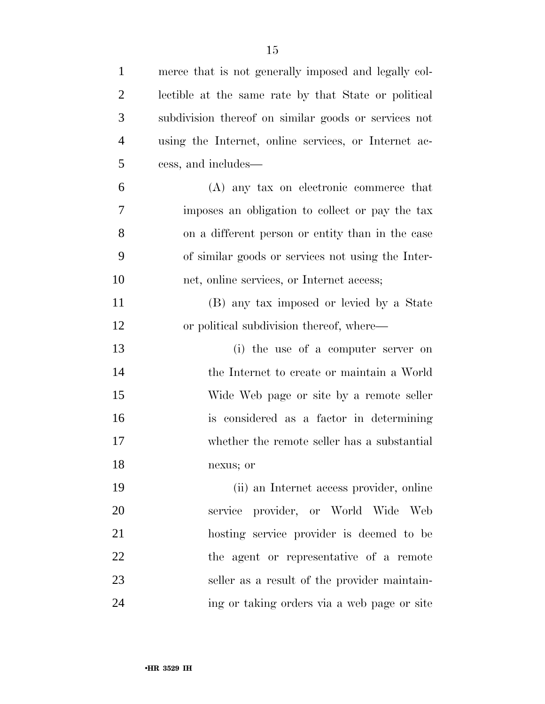| $\mathbf{1}$   | merce that is not generally imposed and legally col- |
|----------------|------------------------------------------------------|
| $\overline{2}$ | lectible at the same rate by that State or political |
| 3              | subdivision thereof on similar goods or services not |
| $\overline{4}$ | using the Internet, online services, or Internet ac- |
| 5              | cess, and includes—                                  |
| 6              | (A) any tax on electronic commerce that              |
| 7              | imposes an obligation to collect or pay the tax      |
| 8              | on a different person or entity than in the case     |
| 9              | of similar goods or services not using the Inter-    |
| 10             | net, online services, or Internet access;            |
| 11             | (B) any tax imposed or levied by a State             |
| 12             | or political subdivision thereof, where—             |
| 13             | (i) the use of a computer server on                  |
| 14             | the Internet to create or maintain a World           |
| 15             | Wide Web page or site by a remote seller             |
| 16             | is considered as a factor in determining             |
| 17             | whether the remote seller has a substantial          |
| 18             | nexus; or                                            |
| 19             | (ii) an Internet access provider, online             |
| 20             | service provider, or World Wide Web                  |
| 21             | hosting service provider is deemed to be             |
| 22             | the agent or representative of a remote              |
| 23             | seller as a result of the provider maintain-         |
| 24             | ing or taking orders via a web page or site          |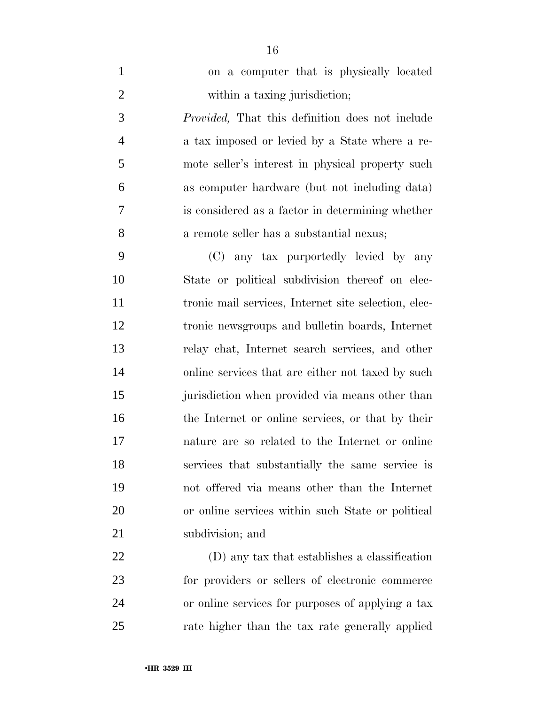| $\mathbf{1}$   | on a computer that is physically located                |
|----------------|---------------------------------------------------------|
| $\overline{2}$ | within a taxing jurisdiction;                           |
| 3              | <i>Provided</i> , That this definition does not include |
| $\overline{4}$ | a tax imposed or levied by a State where a re-          |
| 5              | mote seller's interest in physical property such        |
| 6              | as computer hardware (but not including data)           |
| 7              | is considered as a factor in determining whether        |
| 8              | a remote seller has a substantial nexus;                |
| 9              | (C) any tax purportedly levied by any                   |
| 10             | State or political subdivision thereof on elec-         |
| 11             | tronic mail services, Internet site selection, elec-    |
| 12             | tronic newsgroups and bulletin boards, Internet         |
| 13             | relay chat, Internet search services, and other         |
| 14             | online services that are either not taxed by such       |
| 15             | jurisdiction when provided via means other than         |
| 16             | the Internet or online services, or that by their       |
| 17             | nature are so related to the Internet or online         |
| 18             | services that substantially the same service is         |
| 19             | not offered via means other than the Internet           |
| 20             | or online services within such State or political       |
| 21             | subdivision; and                                        |
| 22             | (D) any tax that establishes a classification           |
| 23             | for providers or sellers of electronic commerce         |
|                |                                                         |

 or online services for purposes of applying a tax rate higher than the tax rate generally applied